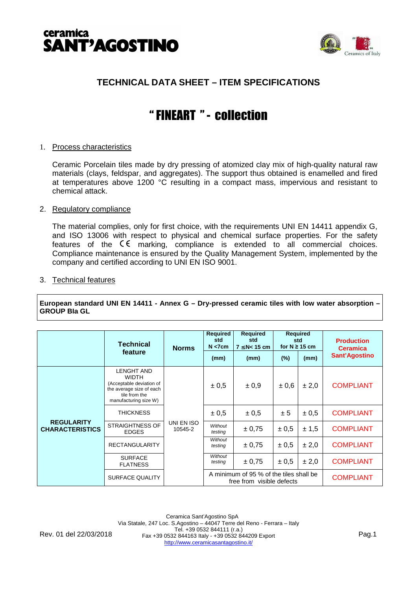



# **TECHNICAL DATA SHEET – ITEM SPECIFICATIONS**

# " FINEART " - collection

# 1. Process characteristics

Ceramic Porcelain tiles made by dry pressing of atomized clay mix of high-quality natural raw materials (clays, feldspar, and aggregates). The support thus obtained is enamelled and fired at temperatures above 1200 °C resulting in a compact mass, impervious and resistant to chemical attack.

## 2. Regulatory compliance

The material complies, only for first choice, with the requirements UNI EN 14411 appendix G, and ISO 13006 with respect to physical and chemical surface properties. For the safety features of the  $\zeta \xi$  marking, compliance is extended to all commercial choices. Compliance maintenance is ensured by the Quality Management System, implemented by the company and certified according to UNI EN ISO 9001.

## 3. Technical features

**European standard UNI EN 14411 - Annex G – Dry-pressed ceramic tiles with low water absorption – GROUP BIa GL**

|                                             | <b>Technical</b>                                                                                                                    | <b>Norms</b>          | Required<br>std<br>$N < 7$ cm                                        | <b>Required</b><br>std<br>$7 \leq N < 15$ cm | <b>Required</b><br>std<br>for $N \geq 15$ cm |       | <b>Production</b><br><b>Ceramica</b> |
|---------------------------------------------|-------------------------------------------------------------------------------------------------------------------------------------|-----------------------|----------------------------------------------------------------------|----------------------------------------------|----------------------------------------------|-------|--------------------------------------|
|                                             | feature                                                                                                                             |                       | (mm)                                                                 | (mm)                                         | $(\%)$                                       | (mm)  | <b>Sant'Agostino</b>                 |
| <b>REGULARITY</b><br><b>CHARACTERISTICS</b> | <b>LENGHT AND</b><br><b>WIDTH</b><br>(Acceptable deviation of<br>the average size of each<br>tile from the<br>manufacturing size W) | UNI EN ISO<br>10545-2 | ± 0.5                                                                | ± 0.9                                        | ±0.6                                         | ± 2.0 | <b>COMPLIANT</b>                     |
|                                             | <b>THICKNESS</b>                                                                                                                    |                       | $\pm 0.5$                                                            | ± 0,5                                        | ± 5                                          | ± 0.5 | <b>COMPLIANT</b>                     |
|                                             | <b>STRAIGHTNESS OF</b><br><b>EDGES</b>                                                                                              |                       | Without<br>testing                                                   | ± 0,75                                       | ± 0,5                                        | ± 1,5 | <b>COMPLIANT</b>                     |
|                                             | <b>RECTANGULARITY</b>                                                                                                               |                       | Without<br>testing                                                   | ± 0.75                                       | $\pm 0.5$                                    | ± 2.0 | <b>COMPLIANT</b>                     |
|                                             | <b>SURFACE</b><br><b>FLATNESS</b>                                                                                                   |                       | Without<br>testing                                                   | ± 0.75                                       | ± 0,5                                        | ± 2,0 | <b>COMPLIANT</b>                     |
|                                             | SURFACE QUALITY                                                                                                                     |                       | A minimum of 95 % of the tiles shall be<br>free from visible defects |                                              |                                              |       | <b>COMPLIANT</b>                     |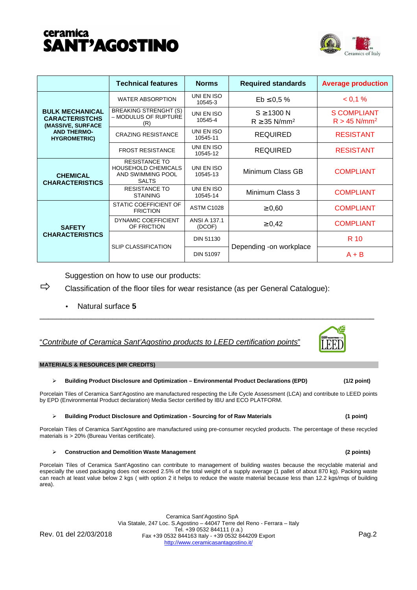# ceramica **SANT'AGOSTINO**



|                                                                                                                   | <b>Technical features</b>                                                               | <b>Norms</b>                  | <b>Required standards</b>                        | <b>Average production</b>                 |
|-------------------------------------------------------------------------------------------------------------------|-----------------------------------------------------------------------------------------|-------------------------------|--------------------------------------------------|-------------------------------------------|
| <b>BULK MECHANICAL</b><br><b>CARACTERISTCHS</b><br>(MASSIVE, SURFACE<br><b>AND THERMO-</b><br><b>HYGROMETRIC)</b> | <b>WATER ABSORPTION</b>                                                                 | UNI EN ISO<br>10545-3         | $Eb \le 0.5 \%$                                  | $< 0.1 \%$                                |
|                                                                                                                   | <b>BREAKING STRENGHT (S)</b><br>- MODULUS OF RUPTURE<br>(R)                             | UNI EN ISO<br>10545-4         | $S \geq 1300$ N<br>$R \geq 35$ N/mm <sup>2</sup> | S COMPLIANT<br>$R > 45$ N/mm <sup>2</sup> |
|                                                                                                                   | <b>CRAZING RESISTANCE</b>                                                               | UNI EN ISO<br>10545-11        | <b>REQUIRED</b>                                  | <b>RESISTANT</b>                          |
|                                                                                                                   | <b>FROST RESISTANCE</b>                                                                 | UNI EN ISO<br>10545-12        | <b>REQUIRED</b>                                  | <b>RESISTANT</b>                          |
| <b>CHEMICAL</b><br><b>CHARACTERISTICS</b>                                                                         | <b>RESISTANCE TO</b><br><b>HOUSEHOLD CHEMICALS</b><br>AND SWIMMING POOL<br><b>SALTS</b> | UNI EN ISO<br>10545-13        | Minimum Class GB                                 | <b>COMPLIANT</b>                          |
|                                                                                                                   | <b>RESISTANCE TO</b><br><b>STAINING</b>                                                 | UNI EN ISO<br>10545-14        | Minimum Class 3                                  | <b>COMPLIANT</b>                          |
| <b>SAFETY</b><br><b>CHARACTERISTICS</b>                                                                           | STATIC COEFFICIENT OF<br><b>FRICTION</b>                                                | <b>ASTM C1028</b>             | $\geq 0.60$                                      | <b>COMPLIANT</b>                          |
|                                                                                                                   | DYNAMIC COEFFICIENT<br>OF FRICTION                                                      | <b>ANSI A 137.1</b><br>(DCOF) | $\geq 0.42$                                      | <b>COMPLIANT</b>                          |
|                                                                                                                   | <b>SLIP CLASSIFICATION</b>                                                              | <b>DIN 51130</b>              |                                                  | R 10                                      |
|                                                                                                                   |                                                                                         | <b>DIN 51097</b>              | Depending -on workplace                          | $A + B$                                   |

Suggestion on how to use our products:

 $\Rightarrow$  Classification of the floor tiles for wear resistance (as per General Catalogue):

• Natural surface **5**

# "Contribute of Ceramica Sant'Agostino products to LEED certification points"

### **MATERIALS & RESOURCES (MR CREDITS)**

### $\blacktriangleright$ **Building Product Disclosure and Optimization – Environmental Product Declarations (EPD) (1/2 point)**

Porcelain Tiles of Ceramica Sant'Agostino are manufactured respecting the Life Cycle Assessment (LCA) and contribute to LEED points by EPD (Environmental Product declaration) Media Sector certified by IBU and ECO PLATFORM.

\_\_\_\_\_\_\_\_\_\_\_\_\_\_\_\_\_\_\_\_\_\_\_\_\_\_\_\_\_\_\_\_\_\_\_\_\_\_\_\_\_\_\_\_\_\_\_\_\_\_\_\_\_\_\_\_\_\_\_\_\_\_\_\_\_\_\_\_\_\_\_\_\_\_\_\_\_\_

### $\blacktriangleright$ **Building Product Disclosure and Optimization - Sourcing for of Raw Materials (1 point)**

Porcelain Tiles of Ceramica Sant'Agostino are manufactured using pre-consumer recycled products. The percentage of these recycled materials is > 20% (Bureau Veritas certificate).

### $\blacktriangleright$ **Construction and Demolition Waste Management (2 points)**

Porcelain Tiles of Ceramica Sant'Agostino can contribute to management of building wastes because the recyclable material and especially the used packaging does not exceed 2.5% of the total weight of a supply average (1 pallet of about 870 kg). Packing waste can reach at least value below 2 kgs ( with option 2 it helps to reduce the waste material because less than 12.2 kgs/mqs of building area).

Ceramica Sant'Agostino SpA Via Statale, 247 Loc. S.Agostino – 44047 Terre del Reno - Ferrara – Italy Tel. +39 0532 844111 (r.a.) Fax +39 0532 844163 Italy - +39 0532 844209 Export Rev. 01 del 22/03/2018 Pag.2 http://www.ceramicasantagostino.it/